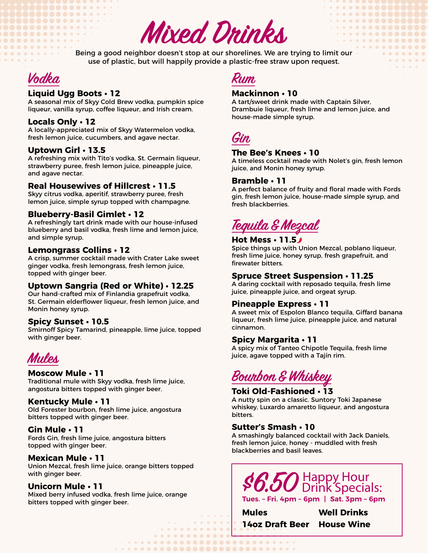**Mixed Drinks**

Being a good neighbor doesn't stop at our shorelines. We are trying to limit our use of plastic, but will happily provide a plastic-free straw upon request.



...........

#### **Liquid Ugg Boots • 12**

**............ ...............** 

> A seasonal mix of Skyy Cold Brew vodka, pumpkin spice liqueur, vanilla syrup, coffee liqueur, and Irish cream.

#### **Locals Only • 12**

A locally-appreciated mix of Skyy Watermelon vodka, fresh lemon juice, cucumbers, and agave nectar.

#### **Uptown Girl • 13.5**

A refreshing mix with Tito's vodka, St. Germain liqueur, strawberry puree, fresh lemon juice, pineapple juice, and agave nectar.

#### **Real Housewives of Hillcrest • 11.5**

Skyy citrus vodka, aperitif, strawberry puree, fresh lemon juice, simple syrup topped with champagne.

#### **Blueberry-Basil Gimlet • 12**

A refreshingly tart drink made with our house-infused blueberry and basil vodka, fresh lime and lemon juice, and simple syrup.

#### **Lemongrass Collins • 12**

A crisp, summer cocktail made with Crater Lake sweet ginger vodka, fresh lemongrass, fresh lemon juice, topped with ginger beer.

#### **Uptown Sangria (Red or White) • 12.25**

Our hand-crafted mix of Finlandia grapefruit vodka, St. Germain elderflower liqueur, fresh lemon juice, and Monin honey syrup.

#### **Spicy Sunset • 10.5**

Smirnoff Spicy Tamarind, pineapple, lime juice, topped with ginger beer.



#### **Moscow Mule • 11**

Traditional mule with Skyy vodka, fresh lime juice, angostura bitters topped with ginger beer.

#### **Kentucky Mule • 11**

Old Forester bourbon, fresh lime juice, angostura bitters topped with ginger beer.

#### **Gin Mule • 11**

Fords Gin, fresh lime juice, angostura bitters topped with ginger beer.

#### **Mexican Mule • 11**

Union Mezcal, fresh lime juice, orange bitters topped with ginger beer.

#### **Unicorn Mule • 11**

Mixed berry infused vodka, fresh lime juice, orange bitters topped with ginger beer.

### **Rum**

#### **Mackinnon • 10**

A tart/sweet drink made with Captain Silver, Drambuie liqueur, fresh lime and lemon juice, and house-made simple syrup.

. . . . . **. . . . .** .

. . . . . . . . . . . .

. . . . **. . . . . . .** 

. . . . . . . . .

 $\begin{array}{cccccccccccccc} \bullet & \bullet & \bullet & \bullet & \bullet & \bullet & \bullet & \bullet \end{array}$ 

**Gin**

#### **The Bee's Knees • 10**

A timeless cocktail made with Nolet's gin, fresh lemon juice, and Monin honey syrup.

#### **Bramble • 11**

A perfect balance of fruity and floral made with Fords gin, fresh lemon juice, house-made simple syrup, and fresh blackberries.

**Tequila & Mezcal**

#### **Hot Mess • 11.5**

Spice things up with Union Mezcal, poblano liqueur, fresh lime juice, honey syrup, fresh grapefruit, and firewater bitters.

#### **Spruce Street Suspension • 11.25**

A daring cocktail with reposado tequila, fresh lime juice, pineapple juice, and orgeat syrup.

#### **Pineapple Express • 11**

A sweet mix of Espolon Blanco tequila, Giffard banana liqueur, fresh lime juice, pineapple juice, and natural cinnamon.

#### **Spicy Margarita • 11**

A spicy mix of Tanteo Chipotle Tequila, fresh lime juice, agave topped with a Tajín rim.

# **Bourbon & Whiskey**

#### **Toki Old-Fashioned • 13**

A nutty spin on a classic. Suntory Toki Japanese whiskey, Luxardo amaretto liqueur, and angostura bitters.

#### **Sutter's Smash • 10**

 $\begin{array}{cccccccccccccc} \bullet & \bullet & \bullet & \bullet & \bullet & \bullet & \bullet & \bullet \end{array}$ 

<u>. . . . . . . . . . . . 1</u> 

A smashingly balanced cocktail with Jack Daniels, fresh lemon juice, honey - muddled with fresh blackberries and basil leaves.



**Mules 14oz Draft Beer House Wine Well Drinks**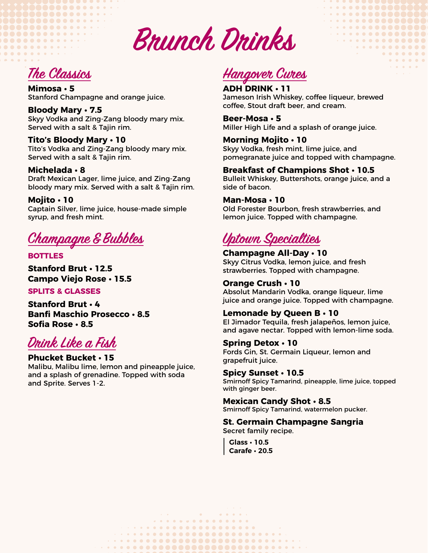**On Tap & Bottles Brunch Drinks**

**The Classics**

. . . . . . . . . . . . .

. . . . . . **. . . . . . . .** . . **...............** 

. . . . . . . . . . . . . .

**..........** 

> **Mimosa • 5** Stanford Champagne and orange juice.

**Bloody Mary • 7.5** Skyy Vodka and Zing-Zang bloody mary mix. Served with a salt & Tajin rim.

**Tito's Bloody Mary • 10** Tito's Vodka and Zing-Zang bloody mary mix. Served with a salt & Tajin rim.

**Michelada • 8** Draft Mexican Lager, lime juice, and Zing-Zang bloody mary mix. Served with a salt & Tajin rim.

**Mojito • 10** Captain Silver, lime juice, house-made simple syrup, and fresh mint.

**Champagne & Bubbles**

**BOTTLES**

**Stanford Brut • 12.5 Campo Viejo Rose • 15.5**

**SPLITS & GLASSES**

**Stanford Brut • 4 Banfi Maschio Prosecco • 8.5 Sofia Rose • 8.5**

**Drink Like a Fish**

**Phucket Bucket • 15** Malibu, Malibu lime, lemon and pineapple juice, and a splash of grenadine. Topped with soda and Sprite. Serves 1-2.

# **Hangover Cures**

**ADH DRINK • 11** Jameson Irish Whiskey, coffee liqueur, brewed coffee, Stout draft beer, and cream.

. . . . . . . . . . .

 $\begin{array}{cccccccccccccc} \bullet & \bullet & \bullet & \bullet & \bullet & \bullet & \bullet & \bullet & \bullet \end{array}$ 

. . . . . . . . . . . .

. . . **. . . . . . . .** 

**Beer-Mosa • 5** Miller High Life and a splash of orange juice.

**Morning Mojito • 10** Skyy Vodka, fresh mint, lime juice, and

pomegranate juice and topped with champagne. **Breakfast of Champions Shot • 10.5**

Bulleit Whiskey, Buttershots, orange juice, and a side of bacon.

**Man-Mosa • 10**

Old Forester Bourbon, fresh strawberries, and lemon juice. Topped with champagne.

## **Uptown Specialties**

**Champagne All-Day • 10** Skyy Citrus Vodka, lemon juice, and fresh strawberries. Topped with champagne.

#### **Orange Crush • 10**

Absolut Mandarin Vodka, orange liqueur, lime juice and orange juice. Topped with champagne.

#### **Lemonade by Queen B • 10**

El Jimador Tequila, fresh jalapeños, lemon juice, and agave nectar. Topped with lemon-lime soda.

**Spring Detox • 10** Fords Gin, St. Germain Liqueur, lemon and grapefruit juice.

**Spicy Sunset • 10.5** Smirnoff Spicy Tamarind, pineapple, lime juice, topped with ginger beer.

**Mexican Candy Shot • 8.5** Smirnoff Spicy Tamarind, watermelon pucker.

**St. Germain Champagne Sangria**

Secret family recipe.

**Glass • 10.5 Carafe • 20.5**

**Contract** *Contractor*  $\lambda = 0.01$  $. . . . . . . . . . . . . . . . . . . . . . . . . .$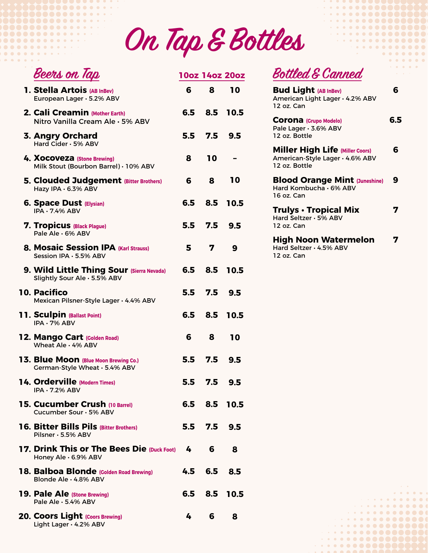**On Tap & Bottles**

| Beers on Tap                                                              | 10oz 14oz 20oz |                |              |
|---------------------------------------------------------------------------|----------------|----------------|--------------|
| 1. Stella Artois (AB InBev)<br>European Lager · 5.2% ABV                  | 6              | 8              | 10           |
| 2. Cali Creamin (Mother Earth)<br>Nitro Vanilla Cream Ale · 5% ABV        |                | 6.5 8.5        | 10.5         |
| 3. Angry Orchard<br>Hard Cider · 5% ABV                                   |                | $5.5$ 7.5      | 9.5          |
| 4. XOCOVEZA (Stone Brewing)<br>Milk Stout (Bourbon Barrel) · 10% ABV      | 8              | 10             |              |
| <b>5. Clouded Judgement (Bitter Brothers)</b><br>Hazy IPA · 6.3% ABV      | 6              | 8              | 10           |
| <b>6. Space Dust (Elysian)</b><br><b>IPA · 7.4% ABV</b>                   | 6.5            | 8.5            | 10.5         |
| <b>7. Tropicus (Black Plague)</b><br>Pale Ale · 6% ABV                    |                | $5.5\quad 7.5$ | 9.5          |
| 8. Mosaic Session IPA (Karl Strauss)<br>Session IPA · 5.5% ABV            | 5.             | 7              | 9            |
| 9. Wild Little Thing Sour (Sierra Nevada)<br>Slightly Sour Ale · 5.5% ABV | 6.5            | 8.5            | 10.5         |
| <b>10. Pacifico</b><br>Mexican Pilsner-Style Lager · 4.4% ABV             |                | 5.5 7.5        | 9.5          |
| <b>11. Sculpin (Ballast Point)</b><br>$IPA \cdot 7\%$ ABV                 |                | 6.5 8.5        | 10.5         |
| 12. Mango Cart (Colden Road)<br>Wheat Ale . 4% ABV                        | 6              | 8              | 10           |
| 13. Blue Moon (Blue Moon Brewing Co.)<br>Cerman-Style Wheat · 5.4% ABV    | 5.5            | 7.5            | 9.5          |
| 14. Orderville (Modern Times)<br>$IPA \cdot 7.2\%$ ABV                    |                | 5.5 7.5 9.5    |              |
| <b>15. Cucumber Crush (10 Barrel)</b><br>Cucumber Sour · 5% ABV           |                |                | 6.5 8.5 10.5 |
| <b>16. Bitter Bills Pils (Bitter Brothers)</b><br>Pilsner · 5.5% ABV      |                | 5.5 7.5 9.5    |              |
| 17. Drink This or The Bees Die (Duck Foot) 4<br>Honey Ale · 6.9% ABV      |                | 6              | 8            |
| 18. Balboa Blonde (Golden Road Brewing)<br>Blonde Ale · 4.8% ABV          |                | 4.5 6.5 8.5    |              |
| <b>19. Pale Ale (Stone Brewing)</b><br>Pale Ale · 5.4% ABV                |                |                | 6.5 8.5 10.5 |
| 20. Coors Light (Coors Brewing)<br>Light Lager · 4.2% ABV                 | 4              | 6              | 8            |

**. . . . . . . . . . . . . .** 

**...............**.

 $\begin{array}{cccccccccccccc} \bullet & \bullet & \bullet & \bullet & \bullet & \bullet & \bullet & \bullet & \bullet \end{array}$ 

**Bottled & Canned**

 $\cdot\cdot\cdot\cdot\cdot\cdot\cdot\cdot\cdot$ 

 $\bullet\hspace{0.1cm} \bullet\hspace{0.1cm} \bullet\hspace{0.1cm} \bullet\hspace{0.1cm} \bullet\hspace{0.1cm} \bullet\hspace{0.1cm} \bullet\hspace{0.1cm} \bullet\hspace{0.1cm} \bullet\hspace{0.1cm} \bullet\hspace{0.1cm} \bullet\hspace{0.1cm} \bullet\hspace{0.1cm} \bullet$ 

. . . . . **. . . . . . . .** 

 $\bullet\texttt{-}\bullet\texttt{-}\bullet\texttt{-}\bullet\texttt{-}\bullet\texttt{-}\bullet\texttt{-}\bullet\texttt{-}$  $\bullet$  . . . . . . . . . . .

 $0 0 0 0 0 0 0 0$ 

 $\begin{array}{cccccccccccccccccc} \bullet & \bullet & \bullet & \bullet & \bullet & \bullet & \bullet & \bullet & \bullet \end{array}$ 

 $\label{eq:2.1} \mathbf{a} = \mathbf{a} + \mathbf{a} + \mathbf{a} + \mathbf{a} + \mathbf{a}$ . **. . . . . . . .** .  $\cdot\cdot\cdot\cdot\cdot\cdot\cdot\cdot\cdot$  $\cdot\cdot\cdot\cdot\cdot\cdot\cdot\cdot\cdot\cdot\cdot$  $\cdot\cdot\cdot\cdot\cdot\cdot\cdot\cdot\cdot\cdot$ 

| <b>Bud Light (AB InBev)</b><br>American Light Lager · 4.2% ABV<br>12 oz. Can               | 6   |
|--------------------------------------------------------------------------------------------|-----|
| <b>COrona</b> (Grupo Modelo)<br>Pale Lager · 3.6% ABV<br>12 oz. Bottle                     | 6.5 |
| <b>Miller High Life (Miller Coors)</b><br>American-Style Lager · 4.6% ABV<br>12 oz. Bottle | 6   |
| <b>Blood Orange Mint (Juneshine)</b><br>Hard Kombucha · 6% ABV<br>16 oz. Can               | g   |
| <b>Trulys • Tropical Mix</b><br>Hard Seltzer · 5% ABV<br>12 oz. Can                        |     |
| <b>High Noon Watermelon</b><br>Hard Seltzer · 4.5% ABV<br>12 oz. Can                       |     |